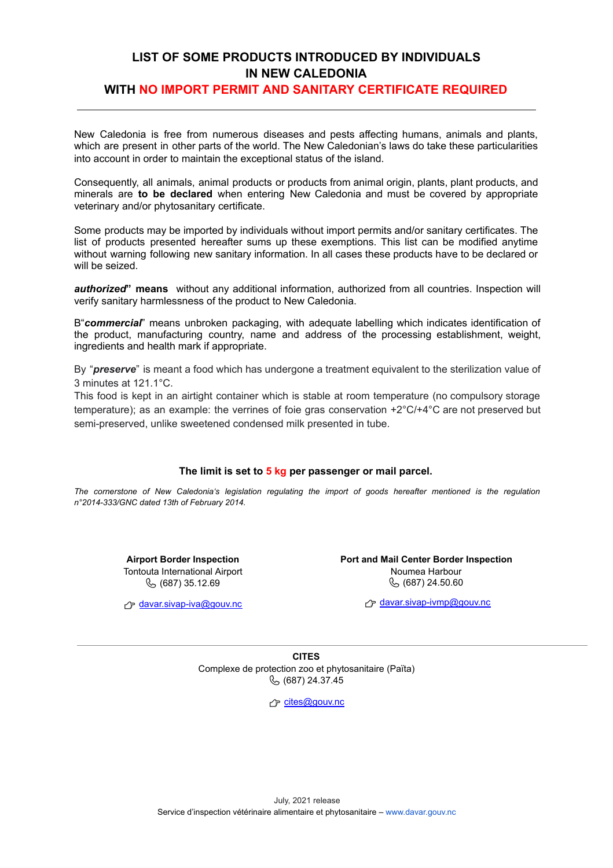### **LIST OF SOME PRODUCTS INTRODUCED BY INDIVIDUALS IN NEW CALEDONIA WITH NO IMPORT PERMIT AND SANITARY CERTIFICATE REQUIRED**

New Caledonia is free from numerous diseases and pests affecting humans, animals and plants, which are present in other parts of the world. The New Caledonian's laws do take these particularities into account in order to maintain the exceptional status of the island.

Consequently, all animals, animal products or products from animal origin, plants, plant products, and minerals are **to be declared** when entering New Caledonia and must be covered by appropriate veterinary and/or phytosanitary certificate.

Some products may be imported by individuals without import permits and/or sanitary certificates. The list of products presented hereafter sums up these exemptions. This list can be modified anytime without warning following new sanitary information. In all cases these products have to be declared or will be seized.

*authorized***" means** without any additional information, authorized from all countries. Inspection will verify sanitary harmlessness of the product to New Caledonia.

B"*commercial*" means unbroken packaging, with adequate labelling which indicates identification of the product, manufacturing country, name and address of the processing establishment, weight, ingredients and health mark if appropriate.

By "*preserve*" is meant a food which has undergone a treatment equivalent to the sterilization value of 3 minutes at 121.1°C.

This food is kept in an airtight container which is stable at room temperature (no compulsory storage temperature); as an example: the verrines of foie gras conservation +2°C/+4°C are not preserved but semi-preserved, unlike sweetened condensed milk presented in tube.

#### **The limit is set to 5 kg per passenger or mail parcel.**

The cornerstone of New Caledonia's legislation regulating the import of goods hereafter mentioned is the regulation *n°2014-333/GNC dated 13th of February 2014.*

> **Airport Border Inspection** Tontouta International Airport (687) 35.12.69

 $f$  [davar.sivap-iva@gouv.nc](mailto:davar.sivap-iva@gouv.nc)

**Port and Mail Center Border Inspection** Noumea Harbour (687) 24.50.60

davar.sivap-ivmp@gouv.nc

**CITES** Complexe de protection zoo et phytosanitaire (Païta) (687) 24.37.45

r<sup>→</sup> cites@gouv.nc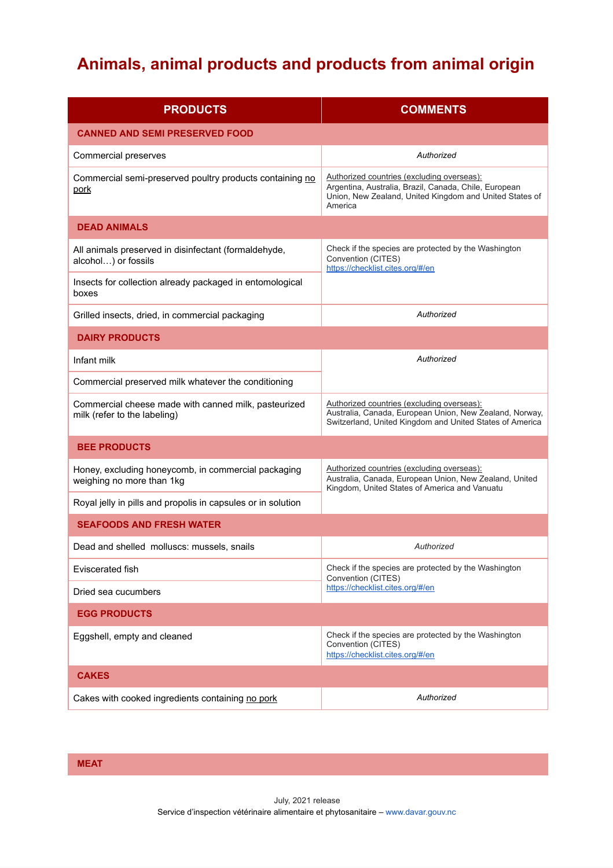# **Animals, animal products and products from animal origin**

| <b>PRODUCTS</b>                                                                      | <b>COMMENTS</b>                                                                                                                                                           |  |
|--------------------------------------------------------------------------------------|---------------------------------------------------------------------------------------------------------------------------------------------------------------------------|--|
| <b>CANNED AND SEMI PRESERVED FOOD</b>                                                |                                                                                                                                                                           |  |
| <b>Commercial preserves</b>                                                          | Authorized                                                                                                                                                                |  |
| Commercial semi-preserved poultry products containing no<br>pork                     | Authorized countries (excluding overseas):<br>Argentina, Australia, Brazil, Canada, Chile, European<br>Union, New Zealand, United Kingdom and United States of<br>America |  |
| <b>DEAD ANIMALS</b>                                                                  |                                                                                                                                                                           |  |
| All animals preserved in disinfectant (formaldehyde,<br>alcohol) or fossils          | Check if the species are protected by the Washington<br>Convention (CITES)<br>https://checklist.cites.org/#/en                                                            |  |
| Insects for collection already packaged in entomological<br>boxes                    |                                                                                                                                                                           |  |
| Grilled insects, dried, in commercial packaging                                      | Authorized                                                                                                                                                                |  |
| <b>DAIRY PRODUCTS</b>                                                                |                                                                                                                                                                           |  |
| Infant milk                                                                          | Authorized                                                                                                                                                                |  |
| Commercial preserved milk whatever the conditioning                                  |                                                                                                                                                                           |  |
| Commercial cheese made with canned milk, pasteurized<br>milk (refer to the labeling) | Authorized countries (excluding overseas):<br>Australia, Canada, European Union, New Zealand, Norway,<br>Switzerland, United Kingdom and United States of America         |  |
| <b>BEE PRODUCTS</b>                                                                  |                                                                                                                                                                           |  |
| Honey, excluding honeycomb, in commercial packaging<br>weighing no more than 1kg     | Authorized countries (excluding overseas):<br>Australia, Canada, European Union, New Zealand, United<br>Kingdom, United States of America and Vanuatu                     |  |
| Royal jelly in pills and propolis in capsules or in solution                         |                                                                                                                                                                           |  |
| <b>SEAFOODS AND FRESH WATER</b>                                                      |                                                                                                                                                                           |  |
| Dead and shelled molluscs: mussels, snails                                           | Authorized                                                                                                                                                                |  |
| Eviscerated fish                                                                     | Check if the species are protected by the Washington<br>Convention (CITES)                                                                                                |  |
| Dried sea cucumbers                                                                  | https://checklist.cites.org/#/en                                                                                                                                          |  |
| <b>EGG PRODUCTS</b>                                                                  |                                                                                                                                                                           |  |
| Eggshell, empty and cleaned                                                          | Check if the species are protected by the Washington<br>Convention (CITES)<br>https://checklist.cites.org/#/en                                                            |  |
| <b>CAKES</b>                                                                         |                                                                                                                                                                           |  |
| Cakes with cooked ingredients containing no pork                                     | Authorized                                                                                                                                                                |  |

**MEAT**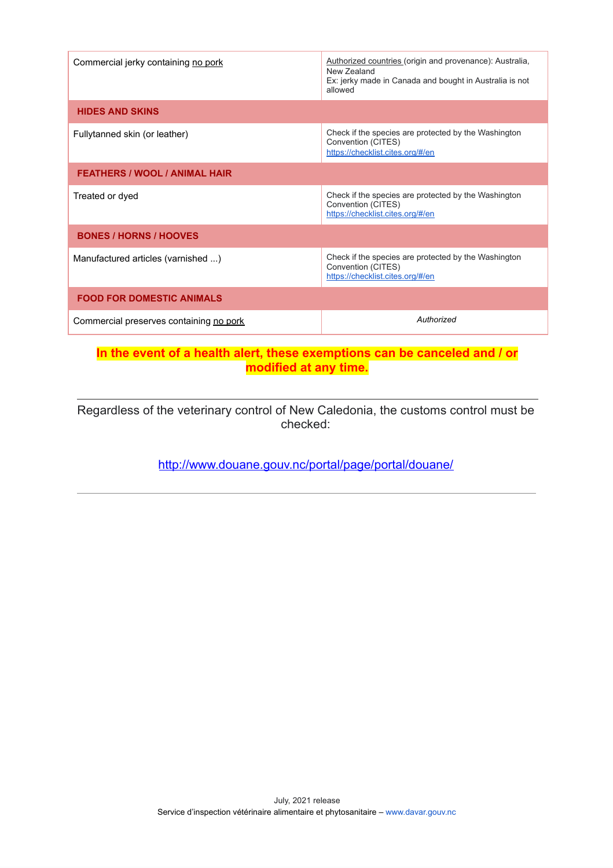| Commercial jerky containing no pork     | Authorized countries (origin and provenance): Australia,<br>New Zealand<br>Ex: jerky made in Canada and bought in Australia is not<br>allowed |  |
|-----------------------------------------|-----------------------------------------------------------------------------------------------------------------------------------------------|--|
| <b>HIDES AND SKINS</b>                  |                                                                                                                                               |  |
| Fullytanned skin (or leather)           | Check if the species are protected by the Washington<br>Convention (CITES)<br>https://checklist.cites.org/#/en                                |  |
| <b>FEATHERS / WOOL / ANIMAL HAIR</b>    |                                                                                                                                               |  |
| Treated or dyed                         | Check if the species are protected by the Washington<br>Convention (CITES)<br>https://checklist.cites.org/#/en                                |  |
| <b>BONES / HORNS / HOOVES</b>           |                                                                                                                                               |  |
| Manufactured articles (varnished )      | Check if the species are protected by the Washington<br>Convention (CITES)<br>https://checklist.cites.org/#/en                                |  |
| <b>FOOD FOR DOMESTIC ANIMALS</b>        |                                                                                                                                               |  |
| Commercial preserves containing no pork | Authorized                                                                                                                                    |  |

### **In the event of a health alert, these exemptions can be canceled and / or modified at any time.**

Regardless of the veterinary control of New Caledonia, the customs control must be checked:

<http://www.douane.gouv.nc/portal/page/portal/douane/>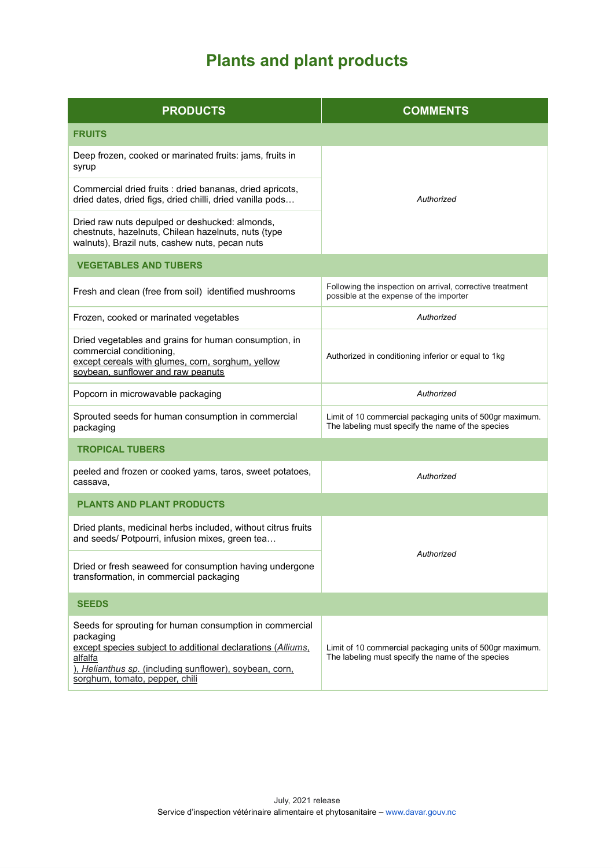# **Plants and plant products**

| <b>PRODUCTS</b>                                                                                                                                                                                                                             | <b>COMMENTS</b>                                                                                               |
|---------------------------------------------------------------------------------------------------------------------------------------------------------------------------------------------------------------------------------------------|---------------------------------------------------------------------------------------------------------------|
| <b>FRUITS</b>                                                                                                                                                                                                                               |                                                                                                               |
| Deep frozen, cooked or marinated fruits: jams, fruits in<br>syrup                                                                                                                                                                           | Authorized                                                                                                    |
| Commercial dried fruits : dried bananas, dried apricots,<br>dried dates, dried figs, dried chilli, dried vanilla pods                                                                                                                       |                                                                                                               |
| Dried raw nuts depulped or deshucked: almonds,<br>chestnuts, hazelnuts, Chilean hazelnuts, nuts (type<br>walnuts), Brazil nuts, cashew nuts, pecan nuts                                                                                     |                                                                                                               |
| <b>VEGETABLES AND TUBERS</b>                                                                                                                                                                                                                |                                                                                                               |
| Fresh and clean (free from soil) identified mushrooms                                                                                                                                                                                       | Following the inspection on arrival, corrective treatment<br>possible at the expense of the importer          |
| Frozen, cooked or marinated vegetables                                                                                                                                                                                                      | Authorized                                                                                                    |
| Dried vegetables and grains for human consumption, in<br>commercial conditioning,<br>except cereals with glumes, corn, sorghum, yellow<br>soybean, sunflower and raw peanuts                                                                | Authorized in conditioning inferior or equal to 1kg                                                           |
| Popcorn in microwavable packaging                                                                                                                                                                                                           | Authorized                                                                                                    |
| Sprouted seeds for human consumption in commercial<br>packaging                                                                                                                                                                             | Limit of 10 commercial packaging units of 500gr maximum.<br>The labeling must specify the name of the species |
| <b>TROPICAL TUBERS</b>                                                                                                                                                                                                                      |                                                                                                               |
| peeled and frozen or cooked yams, taros, sweet potatoes,<br>cassava,                                                                                                                                                                        | Authorized                                                                                                    |
| <b>PLANTS AND PLANT PRODUCTS</b>                                                                                                                                                                                                            |                                                                                                               |
| Dried plants, medicinal herbs included, without citrus fruits<br>and seeds/ Potpourri, infusion mixes, green tea                                                                                                                            | Authorized                                                                                                    |
| Dried or fresh seaweed for consumption having undergone<br>transformation, in commercial packaging                                                                                                                                          |                                                                                                               |
| <b>SEEDS</b>                                                                                                                                                                                                                                |                                                                                                               |
| Seeds for sprouting for human consumption in commercial<br>packaging<br>except species subject to additional declarations (Alliums,<br>alfalfa<br>), Helianthus sp. (including sunflower), soybean, corn,<br>sorghum, tomato, pepper, chili | Limit of 10 commercial packaging units of 500gr maximum.<br>The labeling must specify the name of the species |